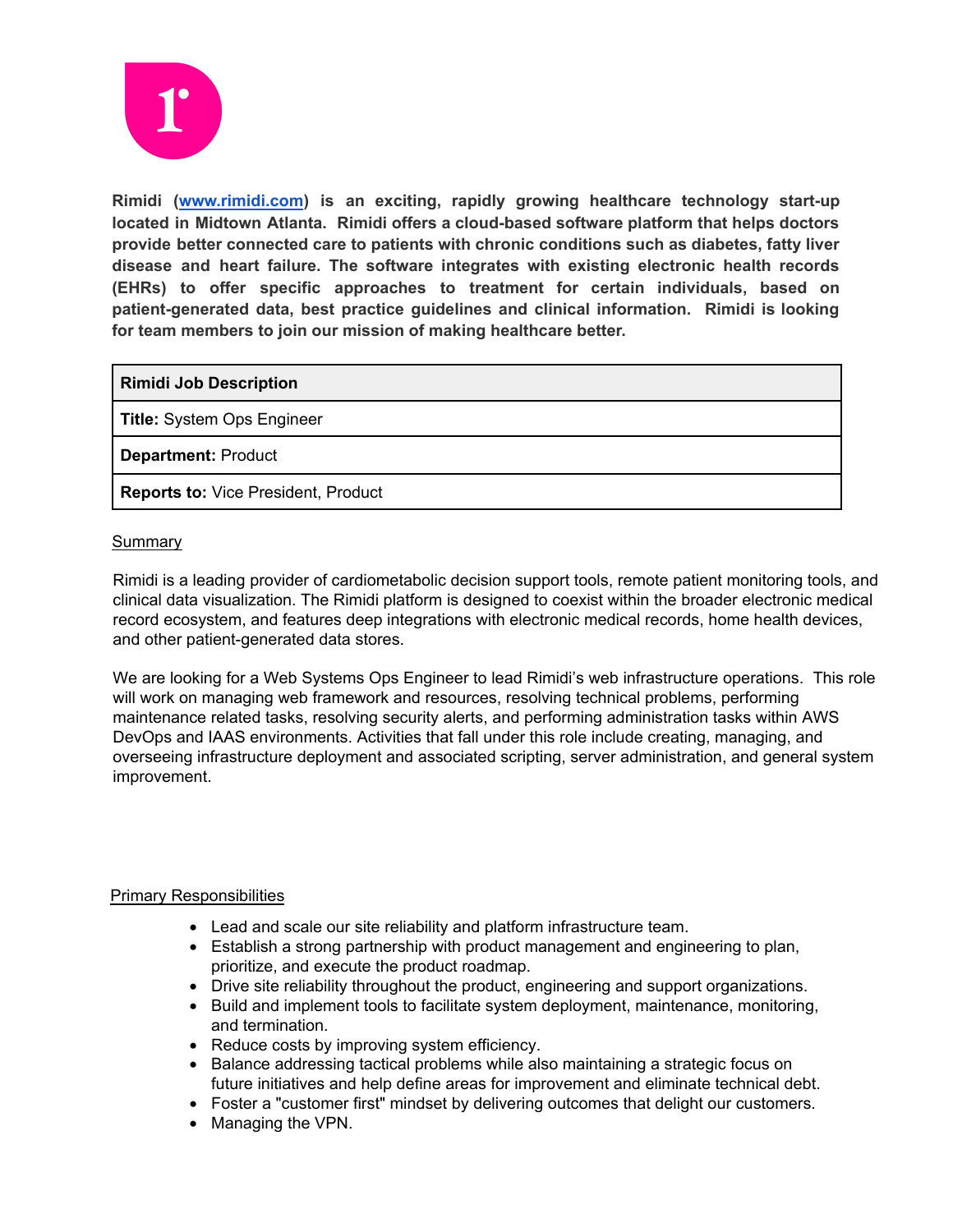

**Rimidi ([www.rimidi.com](http://www.rimidi.com)) is an exciting, rapidly growing healthcare technology start-up located in Midtown Atlanta. Rimidi offers a cloud-based software platform that helps doctors provide better connected care to patients with chronic conditions such as diabetes, fatty liver disease and heart failure. The software integrates with existing electronic health records (EHRs) to offer specific approaches to treatment for certain individuals, based on patient-generated data, best practice guidelines and clinical information. Rimidi is looking for team members to join our mission of making healthcare better.**

**Rimidi Job Description**

**Title:** System Ops Engineer

**Department:** Product

**Reports to:** Vice President, Product

### **Summary**

Rimidi is a leading provider of cardiometabolic decision support tools, remote patient monitoring tools, and clinical data visualization. The Rimidi platform is designed to coexist within the broader electronic medical record ecosystem, and features deep integrations with electronic medical records, home health devices, and other patient-generated data stores.

We are looking for a Web Systems Ops Engineer to lead Rimidi's web infrastructure operations. This role will work on managing web framework and resources, resolving technical problems, performing maintenance related tasks, resolving security alerts, and performing administration tasks within AWS DevOps and IAAS environments. Activities that fall under this role include creating, managing, and overseeing infrastructure deployment and associated scripting, server administration, and general system improvement.

# Primary Responsibilities

- Lead and scale our site reliability and platform infrastructure team.
- Establish a strong partnership with product management and engineering to plan, prioritize, and execute the product roadmap.
- Drive site reliability throughout the product, engineering and support organizations.
- Build and implement tools to facilitate system deployment, maintenance, monitoring, and termination.
- Reduce costs by improving system efficiency.
- Balance addressing tactical problems while also maintaining a strategic focus on future initiatives and help define areas for improvement and eliminate technical debt.
- Foster a "customer first" mindset by delivering outcomes that delight our customers.
- Managing the VPN.